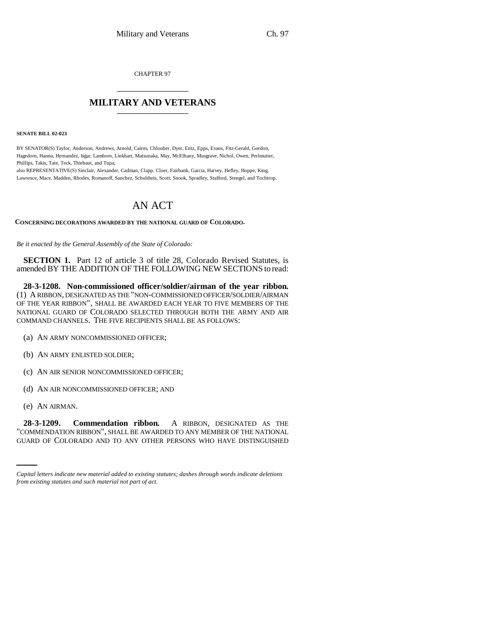CHAPTER 97 \_\_\_\_\_\_\_\_\_\_\_\_\_\_\_

## **MILITARY AND VETERANS** \_\_\_\_\_\_\_\_\_\_\_\_\_\_\_

**SENATE BILL 02-023**

BY SENATOR(S) Taylor, Anderson, Andrews, Arnold, Cairns, Chlouber, Dyer, Entz, Epps, Evans, Fitz-Gerald, Gordon, Hagedorn, Hanna, Hernandez, Isgar, Lamborn, Linkhart, Matsunaka, May, McElhany, Musgrave, Nichol, Owen, Perlmutter, Phillips, Takis, Tate, Teck, Thiebaut, and Tupa;

also REPRESENTATIVE(S) Sinclair, Alexander, Cadman, Clapp, Cloer, Fairbank, Garcia, Harvey, Hefley, Hoppe, King, Lawrence, Mace, Madden, Rhodes, Romanoff, Sanchez, Schultheis, Scott, Snook, Spradley, Stafford, Stengel, and Tochtrop.

## AN ACT

**CONCERNING DECORATIONS AWARDED BY THE NATIONAL GUARD OF COLORADO.**

*Be it enacted by the General Assembly of the State of Colorado:*

**SECTION 1.** Part 12 of article 3 of title 28, Colorado Revised Statutes, is amended BY THE ADDITION OF THE FOLLOWING NEW SECTIONS to read:

**28-3-1208. Non-commissioned officer/soldier/airman of the year ribbon.** (1) A RIBBON, DESIGNATED AS THE "NON-COMMISSIONED OFFICER/SOLDIER/AIRMAN OF THE YEAR RIBBON", SHALL BE AWARDED EACH YEAR TO FIVE MEMBERS OF THE NATIONAL GUARD OF COLORADO SELECTED THROUGH BOTH THE ARMY AND AIR COMMAND CHANNELS. THE FIVE RECIPIENTS SHALL BE AS FOLLOWS:

- (a) AN ARMY NONCOMMISSIONED OFFICER;
- (b) AN ARMY ENLISTED SOLDIER;
- (c) AN AIR SENIOR NONCOMMISSIONED OFFICER;
- (d) AN AIR NONCOMMISSIONED OFFICER; AND
- (e) AN AIRMAN.

28-3-1209. **28-3-1209. Commendation ribbon.** A RIBBON, DESIGNATED AS THE "COMMENDATION RIBBON", SHALL BE AWARDED TO ANY MEMBER OF THE NATIONAL GUARD OF COLORADO AND TO ANY OTHER PERSONS WHO HAVE DISTINGUISHED

*Capital letters indicate new material added to existing statutes; dashes through words indicate deletions from existing statutes and such material not part of act.*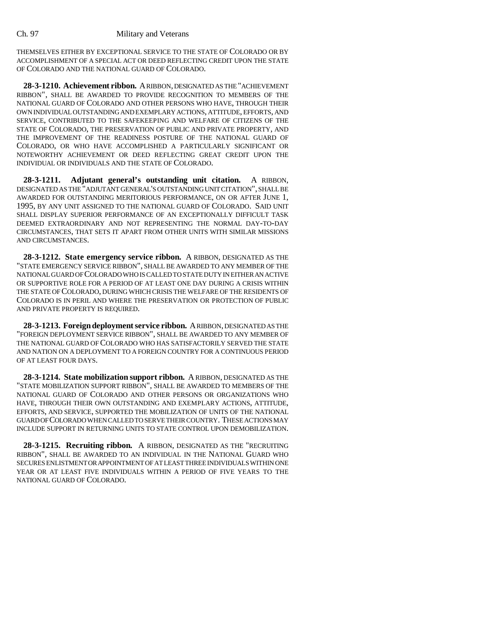THEMSELVES EITHER BY EXCEPTIONAL SERVICE TO THE STATE OF COLORADO OR BY ACCOMPLISHMENT OF A SPECIAL ACT OR DEED REFLECTING CREDIT UPON THE STATE OF COLORADO AND THE NATIONAL GUARD OF COLORADO.

**28-3-1210. Achievement ribbon.** A RIBBON, DESIGNATED AS THE "ACHIEVEMENT RIBBON", SHALL BE AWARDED TO PROVIDE RECOGNITION TO MEMBERS OF THE NATIONAL GUARD OF COLORADO AND OTHER PERSONS WHO HAVE, THROUGH THEIR OWN INDIVIDUAL OUTSTANDING AND EXEMPLARY ACTIONS, ATTITUDE, EFFORTS, AND SERVICE, CONTRIBUTED TO THE SAFEKEEPING AND WELFARE OF CITIZENS OF THE STATE OF COLORADO, THE PRESERVATION OF PUBLIC AND PRIVATE PROPERTY, AND THE IMPROVEMENT OF THE READINESS POSTURE OF THE NATIONAL GUARD OF COLORADO, OR WHO HAVE ACCOMPLISHED A PARTICULARLY SIGNIFICANT OR NOTEWORTHY ACHIEVEMENT OR DEED REFLECTING GREAT CREDIT UPON THE INDIVIDUAL OR INDIVIDUALS AND THE STATE OF COLORADO.

**28-3-1211. Adjutant general's outstanding unit citation.** A RIBBON, DESIGNATED AS THE "ADJUTANT GENERAL'S OUTSTANDING UNIT CITATION", SHALL BE AWARDED FOR OUTSTANDING MERITORIOUS PERFORMANCE, ON OR AFTER JUNE 1, 1995, BY ANY UNIT ASSIGNED TO THE NATIONAL GUARD OF COLORADO. SAID UNIT SHALL DISPLAY SUPERIOR PERFORMANCE OF AN EXCEPTIONALLY DIFFICULT TASK DEEMED EXTRAORDINARY AND NOT REPRESENTING THE NORMAL DAY-TO-DAY CIRCUMSTANCES, THAT SETS IT APART FROM OTHER UNITS WITH SIMILAR MISSIONS AND CIRCUMSTANCES.

**28-3-1212. State emergency service ribbon.** A RIBBON, DESIGNATED AS THE "STATE EMERGENCY SERVICE RIBBON", SHALL BE AWARDED TO ANY MEMBER OF THE NATIONAL GUARD OF COLORADO WHO IS CALLED TO STATE DUTY IN EITHER AN ACTIVE OR SUPPORTIVE ROLE FOR A PERIOD OF AT LEAST ONE DAY DURING A CRISIS WITHIN THE STATE OF COLORADO, DURING WHICH CRISIS THE WELFARE OF THE RESIDENTS OF COLORADO IS IN PERIL AND WHERE THE PRESERVATION OR PROTECTION OF PUBLIC AND PRIVATE PROPERTY IS REQUIRED.

**28-3-1213. Foreign deployment service ribbon.** A RIBBON, DESIGNATED AS THE "FOREIGN DEPLOYMENT SERVICE RIBBON", SHALL BE AWARDED TO ANY MEMBER OF THE NATIONAL GUARD OF COLORADO WHO HAS SATISFACTORILY SERVED THE STATE AND NATION ON A DEPLOYMENT TO A FOREIGN COUNTRY FOR A CONTINUOUS PERIOD OF AT LEAST FOUR DAYS.

**28-3-1214. State mobilization support ribbon.** A RIBBON, DESIGNATED AS THE "STATE MOBILIZATION SUPPORT RIBBON", SHALL BE AWARDED TO MEMBERS OF THE NATIONAL GUARD OF COLORADO AND OTHER PERSONS OR ORGANIZATIONS WHO HAVE, THROUGH THEIR OWN OUTSTANDING AND EXEMPLARY ACTIONS, ATTITUDE, EFFORTS, AND SERVICE, SUPPORTED THE MOBILIZATION OF UNITS OF THE NATIONAL GUARD OF COLORADO WHEN CALLED TO SERVE THEIR COUNTRY. THESE ACTIONS MAY INCLUDE SUPPORT IN RETURNING UNITS TO STATE CONTROL UPON DEMOBILIZATION.

**28-3-1215. Recruiting ribbon.** A RIBBON, DESIGNATED AS THE "RECRUITING RIBBON", SHALL BE AWARDED TO AN INDIVIDUAL IN THE NATIONAL GUARD WHO SECURES ENLISTMENT OR APPOINTMENT OF AT LEAST THREE INDIVIDUALS WITHIN ONE YEAR OR AT LEAST FIVE INDIVIDUALS WITHIN A PERIOD OF FIVE YEARS TO THE NATIONAL GUARD OF COLORADO.